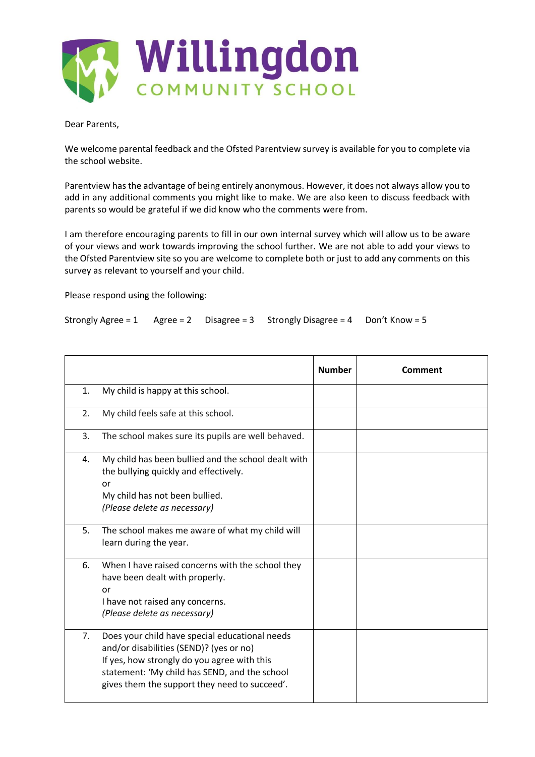

Dear Parents,

We welcome parental feedback and the Ofsted Parentview survey is available for you to complete via the school website.

Parentview has the advantage of being entirely anonymous. However, it does not always allow you to add in any additional comments you might like to make. We are also keen to discuss feedback with parents so would be grateful if we did know who the comments were from.

I am therefore encouraging parents to fill in our own internal survey which will allow us to be aware of your views and work towards improving the school further. We are not able to add your views to the Ofsted Parentview site so you are welcome to complete both or just to add any comments on this survey as relevant to yourself and your child.

Please respond using the following:

Strongly Agree = 1 Agree = 2 Disagree = 3 Strongly Disagree = 4 Don't Know = 5

|    |                                                                                                                                                                                                                                            | <b>Number</b> | Comment |
|----|--------------------------------------------------------------------------------------------------------------------------------------------------------------------------------------------------------------------------------------------|---------------|---------|
| 1. | My child is happy at this school.                                                                                                                                                                                                          |               |         |
| 2. | My child feels safe at this school.                                                                                                                                                                                                        |               |         |
| 3. | The school makes sure its pupils are well behaved.                                                                                                                                                                                         |               |         |
| 4. | My child has been bullied and the school dealt with<br>the bullying quickly and effectively.<br>or<br>My child has not been bullied.<br>(Please delete as necessary)                                                                       |               |         |
| 5. | The school makes me aware of what my child will<br>learn during the year.                                                                                                                                                                  |               |         |
| 6. | When I have raised concerns with the school they<br>have been dealt with properly.<br>or<br>I have not raised any concerns.<br>(Please delete as necessary)                                                                                |               |         |
| 7. | Does your child have special educational needs<br>and/or disabilities (SEND)? (yes or no)<br>If yes, how strongly do you agree with this<br>statement: 'My child has SEND, and the school<br>gives them the support they need to succeed'. |               |         |